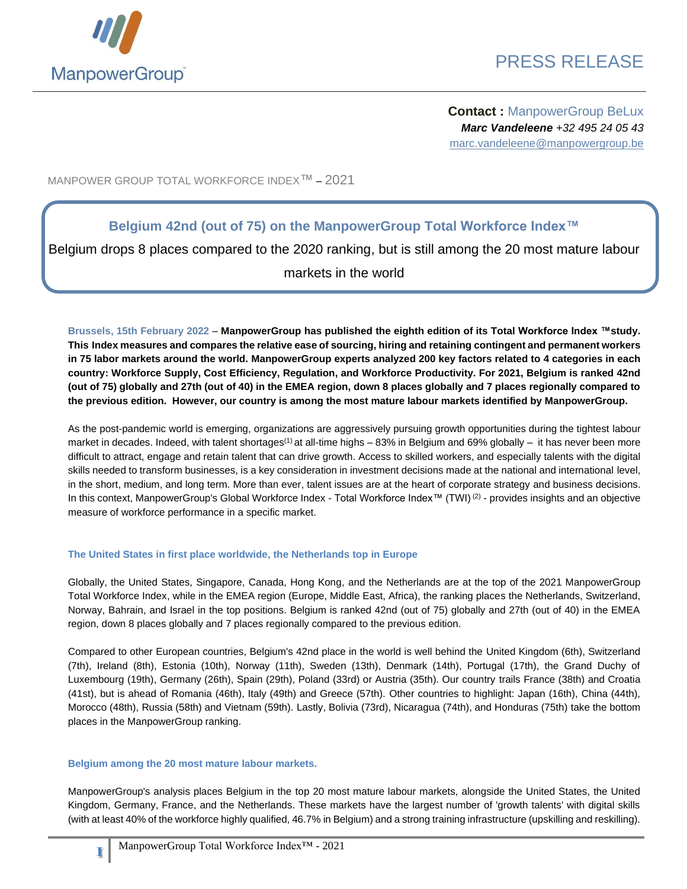

# PRESS RELEASE

**Contact :** ManpowerGroup BeLux *Marc Vandeleene +32 495 24 05 43* marc.vandeleene@manpowergroup.be

MANPOWER GROUP TOTAL WORKFORCE INDEX™ – 2021

### **Belgium 42nd (out of 75) on the ManpowerGroup Total Workforce Index™**

Belgium drops 8 places compared to the 2020 ranking, but is still among the 20 most mature labour markets in the world

**Brussels, 15th February 2022** – **ManpowerGroup has published the eighth edition of its Total Workforce Index ™study. This Index measures and compares the relative ease of sourcing, hiring and retaining contingent and permanent workers in 75 labor markets around the world. ManpowerGroup experts analyzed 200 key factors related to 4 categories in each country: Workforce Supply, Cost Efficiency, Regulation, and Workforce Productivity. For 2021, Belgium is ranked 42nd (out of 75) globally and 27th (out of 40) in the EMEA region, down 8 places globally and 7 places regionally compared to the previous edition. However, our country is among the most mature labour markets identified by ManpowerGroup.**

As the post-pandemic world is emerging, organizations are aggressively pursuing growth opportunities during the tightest labour market in decades. Indeed, with talent shortages<sup>(1)</sup> at all-time highs  $-83%$  in Belgium and 69% globally  $-$  it has never been more difficult to attract, engage and retain talent that can drive growth. Access to skilled workers, and especially talents with the digital skills needed to transform businesses, is a key consideration in investment decisions made at the national and international level, in the short, medium, and long term. More than ever, talent issues are at the heart of corporate strategy and business decisions. In this context, ManpowerGroup's Global Workforce Index - Total Workforce Index™ (TWI)<sup>(2)</sup> - provides insights and an objective measure of workforce performance in a specific market.

### **The United States in first place worldwide, the Netherlands top in Europe**

Globally, the United States, Singapore, Canada, Hong Kong, and the Netherlands are at the top of the 2021 ManpowerGroup Total Workforce Index, while in the EMEA region (Europe, Middle East, Africa), the ranking places the Netherlands, Switzerland, Norway, Bahrain, and Israel in the top positions. Belgium is ranked 42nd (out of 75) globally and 27th (out of 40) in the EMEA region, down 8 places globally and 7 places regionally compared to the previous edition.

Compared to other European countries, Belgium's 42nd place in the world is well behind the United Kingdom (6th), Switzerland (7th), Ireland (8th), Estonia (10th), Norway (11th), Sweden (13th), Denmark (14th), Portugal (17th), the Grand Duchy of Luxembourg (19th), Germany (26th), Spain (29th), Poland (33rd) or Austria (35th). Our country trails France (38th) and Croatia (41st), but is ahead of Romania (46th), Italy (49th) and Greece (57th). Other countries to highlight: Japan (16th), China (44th), Morocco (48th), Russia (58th) and Vietnam (59th). Lastly, Bolivia (73rd), Nicaragua (74th), and Honduras (75th) take the bottom places in the ManpowerGroup ranking.

### **Belgium among the 20 most mature labour markets.**

**1**

ManpowerGroup's analysis places Belgium in the top 20 most mature labour markets, alongside the United States, the United Kingdom, Germany, France, and the Netherlands. These markets have the largest number of 'growth talents' with digital skills (with at least 40% of the workforce highly qualified, 46.7% in Belgium) and a strong training infrastructure (upskilling and reskilling).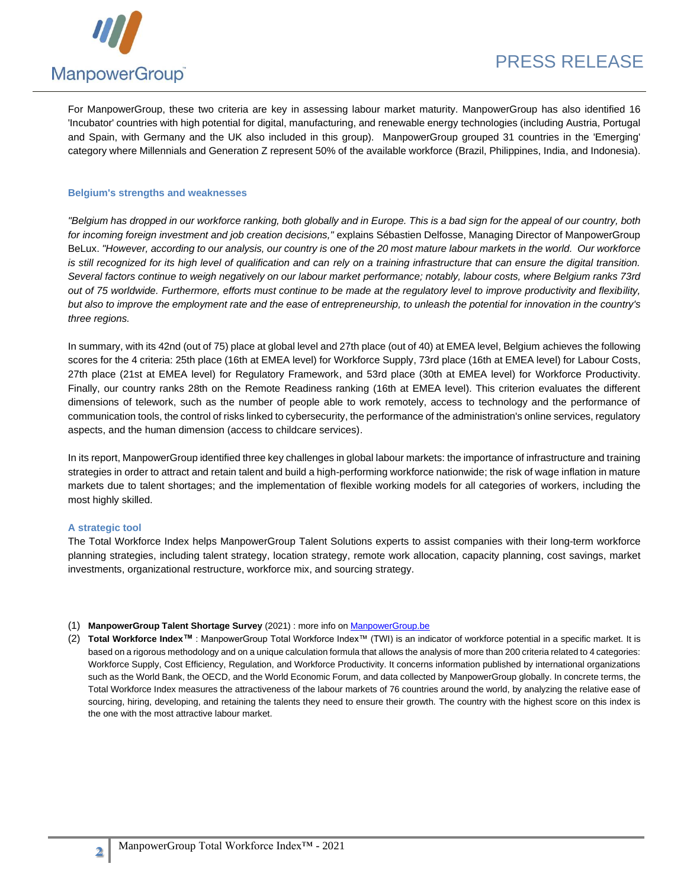

For ManpowerGroup, these two criteria are key in assessing labour market maturity. ManpowerGroup has also identified 16 'Incubator' countries with high potential for digital, manufacturing, and renewable energy technologies (including Austria, Portugal and Spain, with Germany and the UK also included in this group). ManpowerGroup grouped 31 countries in the 'Emerging' category where Millennials and Generation Z represent 50% of the available workforce (Brazil, Philippines, India, and Indonesia).

#### **Belgium's strengths and weaknesses**

*"Belgium has dropped in our workforce ranking, both globally and in Europe. This is a bad sign for the appeal of our country, both for incoming foreign investment and job creation decisions,"* explains Sébastien Delfosse, Managing Director of ManpowerGroup BeLux. *"However, according to our analysis, our country is one of the 20 most mature labour markets in the world. Our workforce*  is still recognized for its high level of qualification and can rely on a training infrastructure that can ensure the digital transition. *Several factors continue to weigh negatively on our labour market performance; notably, labour costs, where Belgium ranks 73rd out of 75 worldwide. Furthermore, efforts must continue to be made at the regulatory level to improve productivity and flexibility, but also to improve the employment rate and the ease of entrepreneurship, to unleash the potential for innovation in the country's three regions.*

In summary, with its 42nd (out of 75) place at global level and 27th place (out of 40) at EMEA level, Belgium achieves the following scores for the 4 criteria: 25th place (16th at EMEA level) for Workforce Supply, 73rd place (16th at EMEA level) for Labour Costs, 27th place (21st at EMEA level) for Regulatory Framework, and 53rd place (30th at EMEA level) for Workforce Productivity. Finally, our country ranks 28th on the Remote Readiness ranking (16th at EMEA level). This criterion evaluates the different dimensions of telework, such as the number of people able to work remotely, access to technology and the performance of communication tools, the control of risks linked to cybersecurity, the performance of the administration's online services, regulatory aspects, and the human dimension (access to childcare services).

In its report, ManpowerGroup identified three key challenges in global labour markets: the importance of infrastructure and training strategies in order to attract and retain talent and build a high-performing workforce nationwide; the risk of wage inflation in mature markets due to talent shortages; and the implementation of flexible working models for all categories of workers, including the most highly skilled.

### **A strategic tool**

**2**

The Total Workforce Index helps ManpowerGroup Talent Solutions experts to assist companies with their long-term workforce planning strategies, including talent strategy, location strategy, remote work allocation, capacity planning, cost savings, market investments, organizational restructure, workforce mix, and sourcing strategy.

- (1) **ManpowerGroup Talent Shortage Survey** (2021) : more info o[n ManpowerGroup.be](https://www.manpowergroup.be/2021/06/08/hiring-pace-will-continue-to-strengthen-during-the-summer-while-83-of-belgian-employers-report-difficulty-filling-jobs/)
- (2) **Total Workforce Index™** : ManpowerGroup Total Workforce Index™ (TWI) is an indicator of workforce potential in a specific market. It is based on a rigorous methodology and on a unique calculation formula that allows the analysis of more than 200 criteria related to 4 categories: Workforce Supply, Cost Efficiency, Regulation, and Workforce Productivity. It concerns information published by international organizations such as the World Bank, the OECD, and the World Economic Forum, and data collected by ManpowerGroup globally. In concrete terms, the Total Workforce Index measures the attractiveness of the labour markets of 76 countries around the world, by analyzing the relative ease of sourcing, hiring, developing, and retaining the talents they need to ensure their growth. The country with the highest score on this index is the one with the most attractive labour market.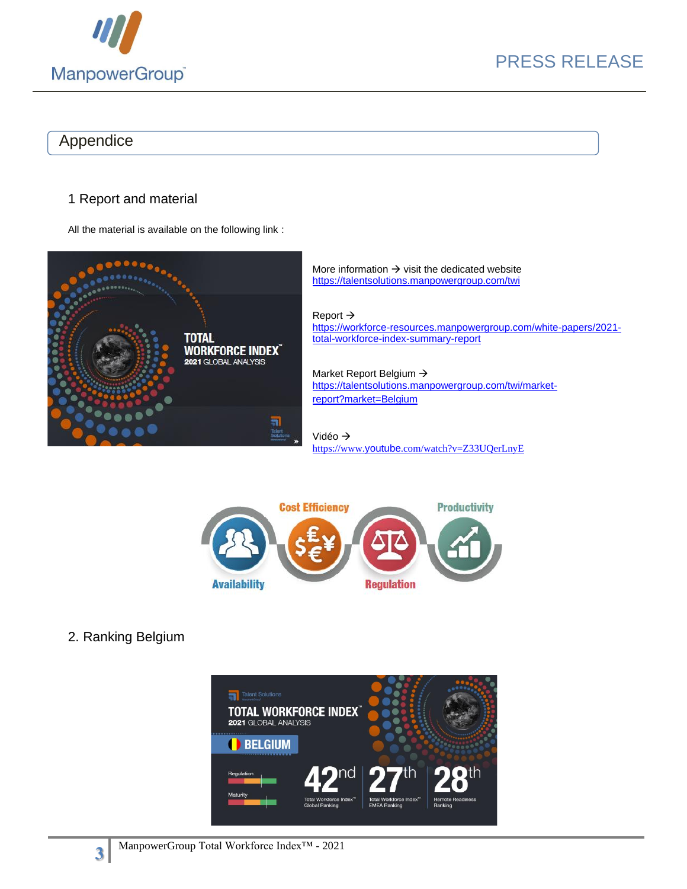

## Appendice

### 1 Report and material

All the material is available on the following link :





### 2. Ranking Belgium



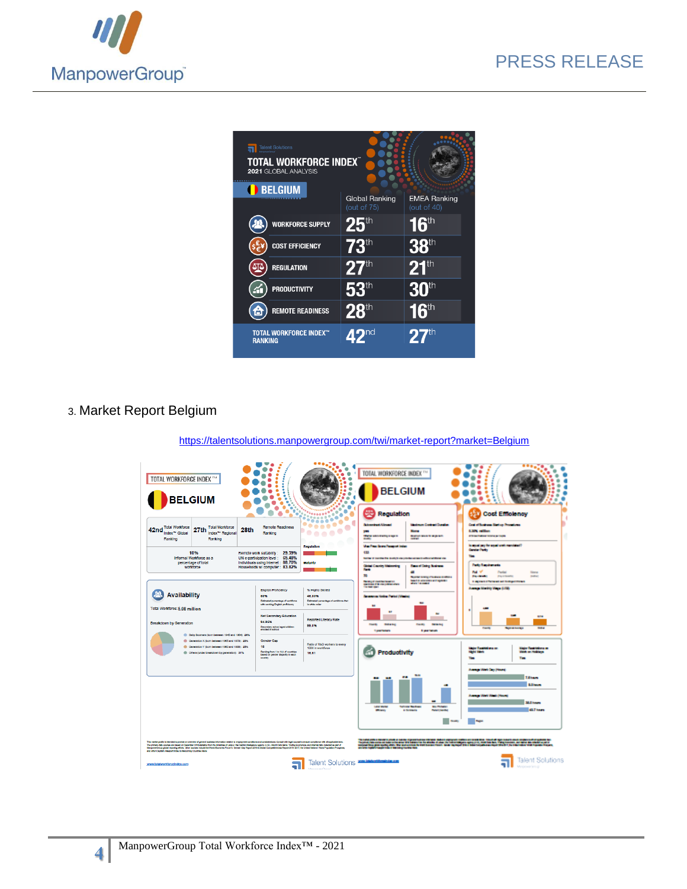

| <b>Talent Solutions</b><br><b>TOTAL WORKFORCE INDEX</b><br>2021 GLOBAL ANALYSIS |                                      |                                       |  |  |  |  |  |
|---------------------------------------------------------------------------------|--------------------------------------|---------------------------------------|--|--|--|--|--|
| <b>BELGIUM</b>                                                                  | <b>Global Ranking</b><br>(out of 75) | <b>EMEA Ranking</b><br>(out of $40$ ) |  |  |  |  |  |
| <b>WORKFORCE SUPPLY</b>                                                         | $25^{\text{th}}$                     | $16$ <sup>th</sup>                    |  |  |  |  |  |
| <b>COST EFFICIENCY</b>                                                          | $73^{\text{th}}$                     | $38^{\text{th}}$                      |  |  |  |  |  |
| <b>REGULATION</b>                                                               | $27^{\text{th}}$                     | $21^{\text{th}}$                      |  |  |  |  |  |
| <b>PRODUCTIVITY</b>                                                             | $53$ <sup>th</sup>                   | $30$ <sup>th</sup>                    |  |  |  |  |  |
| <b>REMOTE READINESS</b>                                                         | $28^{\text{th}}$                     | 16 <sup>th</sup>                      |  |  |  |  |  |
| <b>TOTAL WORKFORCE INDEX™</b><br><b>RANKING</b>                                 | $A$ <sup>Ond</sup>                   | $27^{\rm th}$                         |  |  |  |  |  |

## 3. Market Report Belgium

<https://talentsolutions.manpowergroup.com/twi/market-report?market=Belgium>

| TOTAL WORKFORCE INDEX ™<br><b>BELGIUM</b>                                                                                                                                                                                                                                                                                        | ٠<br>٠<br>۰<br>۰<br>٠<br>٠<br>o<br>×<br>٠<br>٠<br>$\bullet$<br>٠<br>۰<br>o.<br>o<br><b>SPORTS OF</b><br>۰<br>۸<br>۰                                                                                    | TOTAL WORKFORCE INDEX<br><b>BELGIUM</b><br>٠<br>$\bullet$<br>Regulation                                                                                                                                                                                        | <b>Cost Efficiency</b>                                                                                                                                                      |
|----------------------------------------------------------------------------------------------------------------------------------------------------------------------------------------------------------------------------------------------------------------------------------------------------------------------------------|--------------------------------------------------------------------------------------------------------------------------------------------------------------------------------------------------------|----------------------------------------------------------------------------------------------------------------------------------------------------------------------------------------------------------------------------------------------------------------|-----------------------------------------------------------------------------------------------------------------------------------------------------------------------------|
| <b>Total Workforce</b><br><b>Total Workforce</b><br>27th<br>42nd<br>28th<br>Index™ Global<br>Index™ Regional<br>Ranking<br>Ranking                                                                                                                                                                                               | <b>Separate</b><br>$\bullet\bullet\bullet\bullet$<br>$\mathbf{e}^{\mathbf{e}^{\mathbf{e}}}$<br><b>Remote Readiness</b><br>Ranking<br>Regulation                                                        | <b>Marketing Contract Condition</b><br><b>Absorbed Absort</b><br><b>There admits they a see it</b><br><b>Realized State for Angle Acts</b><br>August.<br><b>CARD AT</b>                                                                                        | Cost of Business Nortup Promisess<br><b>LON WINDS</b><br>of forms for player for single participate<br>is again any foregast work manifest?                                 |
| 10%<br>Informal Workforce as a<br>percentage of total<br>workforce                                                                                                                                                                                                                                                               | Remote work suitability: 29.59%<br>UN e-participation level: 65,48%<br>Individuals using internet: 88.70%<br>Maturity<br>Households w/ computer: 83.82%                                                | <b>MacPress Score Personal Index</b><br><b>CU</b><br>former of countries the monthly composite a stress transfer entities with<br><b>Report Sales Bostone</b><br><b>Global Country Walesvilley</b><br><b>Santa</b><br>11<br><b>North American Form Address</b> | <b>Gentler Parks</b><br>m<br><b>Federica American and a</b><br><b>No. V</b><br>Partial<br><b>Torra</b><br><b>Package</b><br><b><i>Fly I Searts</i></b><br><b>SAN AT</b>     |
| <b>Availability</b><br>Total Workforce: 5.08 million                                                                                                                                                                                                                                                                             | % Highly Skilled<br><b>English Proticiency</b><br>8.0%<br>48,80%<br>Estimated percentage of workforce<br>Estimated percentage of worldorce that<br>with working English proficiency<br>In white coller | based on accountance of reporters<br><b>The strip of constitution and incl.</b><br>The states of the constitution of the c<br><b>WAS LESSED</b><br><b>GONE CALL</b><br><b>Ananous Solice Partiel (Madel)</b><br><br>$\mathbf{r}$                               | <b>In all project of furnacial and finalizes in three in</b><br><b>August Markets Village S.I.N.</b>                                                                        |
| <b>Breakdown by Generation</b><br>Baby Boomers (born between 1945 and 1954): 24%                                                                                                                                                                                                                                                 | Net Secondary Education<br>Reported Literacy Rate<br>94.95%<br>88.0%<br>Secondary school aged children<br>errolled in adhaal                                                                           | <b>SMA</b><br><b><i>Statute State</i></b><br><b>Davids</b><br><b><i><u>Signal</u></i></b><br><b>Talentenery</b><br><b>Laurence</b>                                                                                                                             | <b>Adria</b><br><b>Daniel</b><br><b>Bonne Annual</b><br><b>SHAW</b>                                                                                                         |
| Canantion X (born between 1965 and 1979): 20%<br>Cameration Y (born between 1980 and 1999): 25%<br>C Others (under breakdown by peneration): 31%                                                                                                                                                                                 | Gender Gap<br>Ratio of R&D workers to every<br>13<br>1000 in workforce<br>Ranking from 1 to 144 of countries<br>18.81<br>based on gender disparity in each<br>country                                  | Productivity                                                                                                                                                                                                                                                   | bile Fasteti es m<br><b>Native Facebook on an</b><br>Vest on Holidays<br><b>Market Planets</b><br><b>Time</b>                                                               |
|                                                                                                                                                                                                                                                                                                                                  |                                                                                                                                                                                                        | <b>Box Products:</b><br><b>Long Bank</b><br><b><i><u>Sellen Bally</u></i></b><br><b>Billiance</b><br><b>A farmers</b><br><b><i><u>Select manufact</u></i></b>                                                                                                  | <b>Isanga Wark Say (Hours)</b><br><b>Tilbara</b><br><b>Address</b><br><b><i><u><b>International Property Common</b></u></i></b><br><b>Mill Inners</b><br><b>All Friends</b> |
| This market profile is intended to provide an overview of general business information relative to employment conditions and considerations. Consult with legal courses to ensure compliance with all applicaties leves.                                                                                                         |                                                                                                                                                                                                        | <b>The State</b><br>i kana pata masa kata katang panahan sa mga katanggapunan ang pag-ang managang ang managang sa mga katang sa p<br>Kapanganana ang pangalawan ng kapang sa mata naga ng bangapang pang pangalawang kapanang panaha at mala ayang<br>K       | <b>College</b>                                                                                                                                                              |
| The primary data acustas are based on December 2016 actuals from the Minimiral of Labourg Minimiral party (U.S.), World Data Security, Fading Economics, and Internal data collected as part of<br>Hangowed must approximate the<br>and Atton Capita's Passport Index & Welcoming Countries Renk.<br>www.totalworkforceindex.com |                                                                                                                                                                                                        | Talent Solutions <b>Exhibited Area</b>                                                                                                                                                                                                                         | <b>Talent Solutions</b><br>Manneson with di-                                                                                                                                |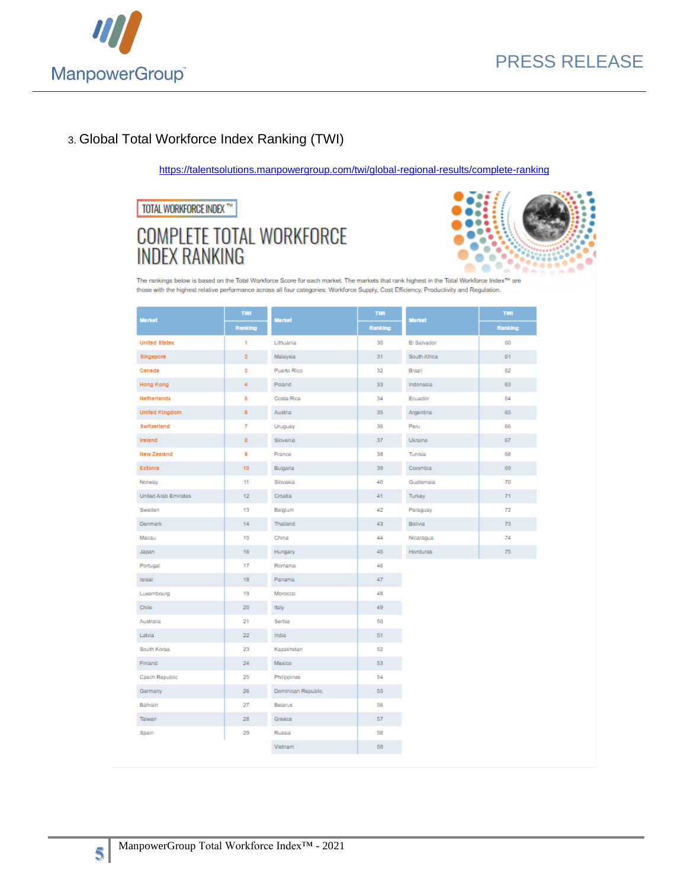

## 3. Global Total Workforce Index Ranking (TWI)

<https://talentsolutions.manpowergroup.com/twi/global-regional-results/complete-ranking>

TOTAL WORKFORCE INDEX TH COMPLETE TOTAL WORKFORCE<br>INDEX RANKING



The rankings below is based on the Total Workforce Score for each market. The markets that rank highest in the Total Workforce Index™ are those with the highest relative performance across all four categories: Workforce Supply, Cost Efficiency, Productivity and Regulation.

| Market                      | TWI                     | Market             | <b>TMI</b> | Market       | <b>TWI</b> |
|-----------------------------|-------------------------|--------------------|------------|--------------|------------|
|                             | Ranking                 |                    | Ranking    |              | Ranking    |
| <b>United States</b>        | 1                       | Lithuania          | 30         | El Salvador  | 60         |
| <b>Singapore</b>            | $\overline{\mathbf{2}}$ | Malaysia           | 31         | South Africa | 61         |
| Canada                      | s                       | Puerto Rico        | 32         | Brazil       | 62         |
| Hong Kong                   | $\overline{4}$          | Poland             | 33         | Indonesia    | 63         |
| Netherlands                 | 5                       | Costa Rica         | 34         | Ecuador      | 64         |
| <b>United Kingdom</b>       | 8                       | Austria            | 35         | Argentina    | 65         |
| <b>Switzerland</b>          | 7                       | Uruguay            | 36         | Peru         | 66         |
| Ireland                     | 8                       | Slovenia           | 37         | Ukraine      | 67         |
| New Zealand                 | ø                       | France             | 38         | Tunisia      | 68         |
| Estonia                     | 10                      | Bulgaria           | 39         | Colombia     | 69         |
| Norway                      | 11                      | Slovakia           | 40         | Guatemala    | 70         |
| <b>United Arab Emirates</b> | 12                      | Croatia            | 41         | Turkey       | 71         |
| Sweden                      | 13                      | Belgium            | 42         | Paraguay     | 72         |
| Denmark                     | 14                      | Thailand           | 43         | Bolivia      | 73         |
| Macau                       | 15                      | China              | 44         | Nicaragua    | 74         |
| Japan                       | 16                      | Hungary            | 45         | Honduras     | 75         |
| Portugal                    | 17                      | Romania            | 46         |              |            |
| Israel                      | 18                      | Panama             | 47         |              |            |
| Luxembourg                  | 19                      | Morocco            | 48         |              |            |
| Chile                       | 20                      | Italy              | 49         |              |            |
| Australia                   | 21                      | Serbia             | 50         |              |            |
| Latvia                      | 22                      | India              | 51         |              |            |
| South Korea                 | 23                      | Kazakhstan         | 52         |              |            |
| Finland                     | 24                      | Maxico             | 53         |              |            |
| Czech Republic              | 25                      | Philippines        | 54         |              |            |
| Germany                     | 26                      | Dominican Republic | 55         |              |            |
| Bahrain                     | 27                      | Belarus            | 56         |              |            |
| Talwan                      | 28                      | Greece             | 57         |              |            |
| Spain                       | 29                      | Russia             | 58         |              |            |
|                             |                         | Vietnam            | 59         |              |            |
|                             |                         |                    |            |              |            |

**5**